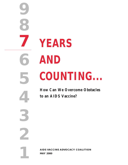# **YEARS AND COUNTING...**

**9**

**8**

**7**

**6**

**5**

**4**

**3**

**2**

**1**

**How Can We Overcome Obstacles to an AIDS Vaccine?**

**AIDS VACCINE ADVOCACY COALITION MAY 2000**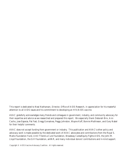This report is dedicated to Neal Nathanson, Director, Office of AIDS Research, in appreciation for his masterful attention to all AIDS issues and his commitment to developing an HIV/AIDS vaccine.

AVAC gratefully acknowledges many friends and colleagues in government, industry, and community advocacy for their expertise and advice as we researched and prepared this report. We especially thank Deborah Birx, Ann Cacho, Jose Esparza, Pat Fast, Gregg Gonsalves, Peggy Johnston, Wayne Koff, Bonnie Mathieson, and Gary Nabel for their helpful comments.

AVAC does not accept funding from government or industry. This publication and AVAC's other policy and advocacy work is made possible by the dedicated work of AVAC advocates and contributions from the Royal S. Marks Foundation Fund, Until There's a Cure Foundation, Broadway Cares/Equity Fights AIDS, the John M. Lloyd Foundation, the Gill Foundation, amfAR, and many individual donors' contributions and in-kind support.

Copyright © AIDS Vaccine Advocacy Coalition. All rights reserved.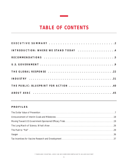# **TABLE OF CONTENTS**

| INTRODUCTION: WHERE WE STAND TODAY 4 |  |
|--------------------------------------|--|
|                                      |  |
|                                      |  |
| THE GLOBAL RESPONSE 22               |  |
|                                      |  |
| THE PUBLIC: BLUEPRINT FOR ACTION 40  |  |
|                                      |  |

## **PROFILES**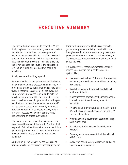# <span id="page-3-0"></span>**EXECUTIVE SUMMARY**

The idea of finding a vaccine to prevent HIV has finally captured the attention of government leaders and affected communities. Increasing sums of public money are available for the effort. Research is percolating in industry. Willing trial volunteers have signed up for injections. Politicians and the public have opened their eyes to the devastation of AIDS in Africa, and decided they should do something.

So why are we still writing reports?

Because scientists do not yet understand the basics, including how to build protective immunity to HIV in humans, or how to use animal models most effectively in research. Because, for all the hype, governments have not passed legislation to help the private sector work on HIV vaccines. Because no one knows how we would get a vaccine to the people of Africa, India and other countries in Asia if we had one. Because Merck recently announced that their current HIV candidate is likely only a first step. Because we have not come close to demonstrating an efficacious vaccine.

The last year was one of great activity across US agencies and throughout the world. We should all be proud. But neither the rhetoric nor more dollars got us a major breakthrough. HIV remains one of the most puzzling and challenging foes to face humanity.

And behind all the activity, we see real signs of trouble: private industry driven increasingly by the thirst for huge profits and blockbuster products, government programs resisting coordination and losing leadership, mounting controversy over a proposed government vaccine trial, and a tendency in Congress to spend money without making structural policy changes.

This year's AVAC report documents the steadily increasing activity in the quest for a vaccine against HIV:

- Leadership by President Clinton to find vaccines for the major infectious-disease killers, including HIV/AIDS.
- Needed increases in funding at the National Institutes of Health.
- Modest research programs at the major pharmaceutical companies and among some biotech mavericks.
- Five thousand individuals, predominantly in the US, volunteering to participate in the first HIV vaccine efficacy trial.
- Progress toward a government-sponsored, largescale human trial.
- Establishment of milestones for public sector research.
- Growing public awareness of the international AIDS crisis.
- Activity by governments, researchers, and advocates in scores of countries.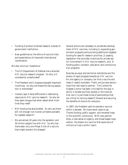- Funding of product-oriented research outside of government institutions.
- New guidelines on the ethics of vaccine trials and expectations of improved international coordination.

We also voice our impatience:

- The US Department of Defense has a directed HIV vaccine research program. So why is it consistently underfunded?
- The President and Congress proposed important incentives. So why are these bills facing opposition or disinterest?
- Industry says it faces difficulties in dedicating resources to HIV vaccine research. So why do they seem tongue-tied when asked what incentives they need?
- NIH funding has skyrocketed. So why are there still not enough non-human primates available for needed research?
- We are almost 20 years into the epidemic and 30 million people live with HIV. So why has there been only one Phase 3 trial of a vaccine that might prevent this disease?

Several actions are necessary to accelerate development of HIV vaccines, including 1) expanding government programs and providing additional targeted funding for specific research priorities, 2) passing legislation that provides incentives for private sector involvement in HIV vaccine research, and, 3) funding public outreach, education and communication programs.

Business as usual and territorial mentalities are the enemy of rapid progress towards an HIV vaccine. No one agency or company can find a vaccine and make it readily available. Public and private sectors must find new ways to partner. The Centers for Disease Control has been criticized for the way in which it funded ancillary studies in the VaxGen trial, but it is just these kinds of partnerships that are critical to moving research forward and securing the benefits of science for everyone.

In 1997, the President said he wanted a vaccine within a decade. We have seven years to go. There's funding, public support, and renewed hope in the scientific community. With new partnerships, a new sense of urgency, and broad based cooperation, the dream of a vaccine that saves tens of millions of lives is within reach.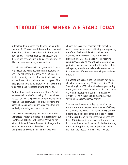# <span id="page-5-0"></span>**INTRODUCTION: WHERE WE STAND TODAY**

In less than four months, the 10-year challenge to create an AIDS vaccine will be one-third over, and the daring challenger, President Bill Clinton, will leave office. This year, dramatic changes in the rhetoric and actions surrounding development of an HIV vaccine appear everywhere we look.

You will see a difference in this year's AVAC report. We believe the world has turned an important corner. The political will to make an AIDS vaccine finally shows signs of life. The National Institutes of Health are not our primary focus this year. The foresight and continuing effort of NIH is beginning to be repaid and replicated around the world.

On the other hand, in some ways, Clinton's challenge seems like wishful thinking. Not only have we been unable to agree on what a promising AIDS vaccine candidate would look like, objections are raised when a publicly-funded large scale trial of a modestly promising vaccine is proposed.

The vaccine issue belongs not to Clinton or the Democrats—rather it touches on the security of our country and stability in the world, particularly in Africa, Asia, and Eastern Europe. A change in the political landscape with Presidential and Congressional elections this fall may very well

change the balance of power in both branches, which raises concerns for continuing and expanding the effort. Each candidate for President and Congress must realize that the ultimate goal preventing AIDS—has staggering, far-reaching consequences. We do and will call on each active politician, regardless of the rest of his or her political agenda, to endorse accelerated development of HIV vaccines. If there ever were a bipartisan issue, this is it.

Six years have passed since the decision not to go ahead with monomeric gp120 in the US in 1994. Something like \$781 million has been spent during those years, and there's so much we still don't know. As Mark Schoofs points out in, "The Agony of Africa" in *The Village Voice*, (November, 1999) "Even when pushed, science crawls."

The moment has come to step up the effort, put on some pressure and prepare to run a series of efficacy trials around the world. All the old, AIDS-activist slogans could be dusted off and still apply: *People Are Dying* and people need experimental vaccines. It is 1982–83 again in other parts of the world and in communities across America. Nobody's storming the NIH, disrupting the stock market, or staging die-ins in the streets. It might help if we did.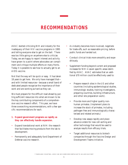# **RECOMMENDATIONS**

<span id="page-6-0"></span>AVAC started criticizing NIH and industry for the inadequacy of their HIV vaccine programs in 1995 and telling everyone else to get on the ball. There was too little going on anywhere else to criticize. Today, we are happy to report interest and activity have grown to a point where advocates can compliment and critique multiple efforts on many fronts. Today it is possible to see how to actually get to an AIDS vaccine.

Not that the way will be quick or easy. It has taken 18 years to get here. We only have managed that and with limited resources—because a small band of dedicated people recognize the importance of their work and are working as hard as they can.

We must prepare for the difficult road ahead by putting sufficient resources into what are known to be the key contributing components of a comprehensive vaccine research effort. This year, we have three overarching recommendations, with a few specific recommendations for each.

#### **1. Expand government programs as rapidly as they can effectively handle expansion.**

- Expand translational work at NIH: the research that facilitates moving products from the lab to development.
- Permanently and adequately fund Department of Defense vaccine research.
- As industry becomes more involved, negotiate for trade-offs, such as reasonable pricing, before public funds are handed out.
- Conduct clinical trials more smoothly and expeditiously.
- Supplement funding beyond current and proposed increases for NIH in seven specific areas identified by AVAC. AVAC estimates that an additional \$70 million could be effectively used to:
	- Prepare research sites in the US and other countries (including epidemiological studies, immunologic studies, training investigators, preparing countries, building infrastructure, and other site preparation work).
	- Provide more and higher quality nonhuman primates. (Implement plans to increase the stock of primates, including pathogen-free and immunologically characterized and related animals.)
	- Develop new assays rapidly and place advance orders for new cell-sorting and other technology that would be used to analyze results from efficacy trials.
	- Target additional resources to biotech companies through the Vaccine Design and Development Teams initiative.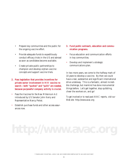- Prepare key communities and the public for the ongoing vaccine effort.
- Provide adequate funds to expeditiously conduct efficacy trials in the US and abroad as soon as candidates become available.
- Create private-public partnerships to champion and develop orphan-vaccine concepts and support vaccine trials.
- **2. Pass legislation that provides incentives for private sector involvement in HIV vaccine research—both "pushes" and "pulls" are needed, because purposeful company activity is crucial.**
- Pass the *Vaccines for the New Millennium Act* introduced by US Senator John Kerry and Representative Nancy Pelosi.
- Establish purchase funds and other access assurances now.
- **3. Fund public outreach, education and communication programs.**
- Focus education and communication efforts in key communities.
- Develop and implement a strategic communications plan.

In two more years, we come to the halfway mark of 10 years to develop a vaccine. By then we could have a real, substantial and significant international drive underway. This is a fantastic, almost incredible challenge, but mankind has done monumental things before. Let's get together, stop quibbling, cheer the workers on, and go!

*To get involved or to read past AVAC reports, visit our Web site:* http://www.avac.org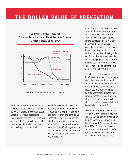# <span id="page-8-0"></span>**THE DOLLAR VALUE OF PREVENTION**



This chart shows that a new treatment or vaccine can slash the incidence of a deadly infectious disease. Because infectious diseases are transmissible, the health of others is your health. Yet, private and public health-care plans often don't pay for check-ups or immunization.

Vaccines, even administered to millions, are worth hundreds or thousands of times more per person and per dose than the pennies we expect them to cost. For people who have not caught and do not expect to catch an infectious disease, this is a difficult argument to sell, particularly when vaccination and hygiene has made occurrence of a disease rare.

A vaccine is insurance against rare catastrophic events and the insurance itself is a form of protection. That's why vaccine advocacy is hard to generate especially when the disease burden has been reduced as dramatically as it has in the developed world. In the US, we live in a relatively healthy bubble of a relatively unhealthy globe. Given emerging infections, clearly, the best way to keep the diseases out—is not to build barriers—but to improve health "out there."

Like clean air and water, an infection-free environment is a common good. Sanitation and vaccination are the only two proven routes to that end. If we, as individuals, can happily spend a hundred billion dollars a year treating sometimes minor ailments, why can't we find adequate resources for full-scale efforts on the vaccines needed most desperately in the world?

According to the US Department of Health we will spend an estimated \$110–120 billion on prescription drugs this year, which has almost doubled since 1995 and quadrupled since 1990. The entire budget for vaccines around the world is estimated to be no more than \$3 billion. Where's the sense in that?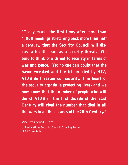*"Today marks the first time, after more than 4,000 meetings stretching back more than half a century, that the Security Council will discuss a health issue as a security threat. We tend to think of a threat to security in terms of war and peace. Yet no one can doubt that the havoc wreaked and the toll exacted by HIV/ AIDS do threaten our security. The heart of the security agenda is protecting lives–and we now know that the number of people who will die of AIDS in the first decade of the 21st Century will rival the number that died in all the wars in all the decades of the 20th Century."*

**Vice President Al Gore** 

United Nations Security Council Opening Session January 10, 2000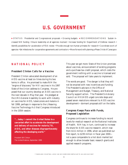# **U.S. GOVERNMENT**

<span id="page-10-0"></span>▶ STATUS Presidential and Congressional proposals • Growing budgets ▶ RECOMMENDATIONS Sustain increased NIH funding • Ensure leadership at all agencies involved • Increase funding for Department of Defense research • Identify possibilities for acceleration of FDA review • Provide enough non-human primates for research • Coordinate work of agencies •Set milestones for cooperative agreements and contractors • Move forward with planning a Phase 3 trial of Canarypox

## **NATIONAL POLICY**

#### **President Clinton Calls for a Vaccine**

President Clinton advocated development of an AIDS vaccine at least six times during his two terms in office. He promised to make NIH the "engine of discovery" for HIV vaccines in his 1997 State of the Union address to Congress. He proposed that our country develop an AIDS vaccine in the next decade in May that year. He pledged at the UN's General Assembly to work with industry on vaccines for AIDS, tuberculosis and malaria in fall 1999, perhaps in response to the Lifesaving Vaccine Technology Act that Congress introduced in the 105th session.

*"...today I commit the United States to a concerted effort to accelerate the development and delivery of vaccines for malaria,TB, AIDS, and other diseases disproportionately affecting the developing world."* 

President Bill Clinton The United Nations, September 1999

This year we got more: State of the Union promises about vaccines, announcement of existing programs and a purchase-tax-credit proposal, which costs the government nothing until a vaccine is licensed and sold. The proposal will take years to implement.

The words are good. The danger is that they will not be enacted with new incentives and funding. The President's advisors in the Office of Management and Budget, Treasury, and National Security support action. The President's Advisory Council on HIV/AIDS urged concrete steps and passed seven resolutions relevant to AIDS vaccine development—dormant proposals still on the table.

#### **Congress Keeps Pace with Funds, Proposed Legislation**

Congress continues to increase funding to record levels for medical research at the National Institutes of Health. NIH has, in turn, continued to increase the share for AIDS vaccine research, which rose from \$111 million in 1996, when we published our first report, to \$239 million in fiscal year 2000 not a pace comparable to a hot stock market but enough to allow broader basic research grants and applied research programs.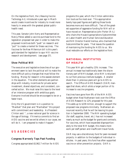On the legislative front, the *Lifesaving Vaccine Technology Act*, introduced a year ago in March would create incentives for industry to invest more heavily in areas with the greatest global publichealth need.

This year, Senator John Kerry and Representative Nancy Pelosi added a vaccine-purchase fund to the legislation proposed last year in order to make the proposed incentives both "push" on research and "pull" to create a market for these vaccines. The *Vaccines for the New Millennium* bill is this year's gold standard for legislation to spur HIV vaccine research and development. (see page 37).

#### **Show Political Will**

The executive and legislative branches of our government seem to lack the political will to make the more difficult policy changes that must follow the funding. Money for research is the easiest element in the equation. The other elements are partnerships with industry, incentives for private sector investment, shared objectives, and consistent, concerted action. We must raise this issue to the level of an intensive program with ambitious goals. Everyone involved should be encouraged to be on a faster track.

Only the US government is in a position to "Marshall" that plan and "Manhattan" this project with commitment and leadership. As President Clinton said: "...a new national goal for science in the age of biology. If America commits to find an AIDS vaccine and we enlist others in our cause, we will do it. I am prepared to make it happen."

## **US AGENCIES**

#### **Congress Narrowly Tops Past Funding**

Congress appropriated \$5,962.7 million for AIDS

programs this year, which the Clinton administration touts as the most ever. This appropriation barely tops past figures and getting those funds becomes more and more difficult. Two of the greatest supporters of aggressive funding for NIH will or have moved on: Representative John Porter (R-IL) who chairs the House Appropriations Subcommittee on Labor-Health and Human Services-Education and NIH Director Harold Varmus, who charmed that Subcommittee for years. That leaves the question of maintaining the funding for AIDS to us. We must redouble our efforts on the legislative front.

#### **NATIONAL INSTITUTES OF HEALTH**

This year NIH got a healthy 15% increase. The annual increase has traditionally been the discretionary part of NIH's budget, since NIH is reluctant to cut from previous institute budgets. A smaller share than in previous years will go to AIDS research. The Office of AIDS Research (OAR) manages that share, which allots a larger portion of its increase to vaccine programs.

Vaccines have gone from 9% of the NIH AIDS budget when Neal Nathanson took over the Office of AIDS Research to 12% proposed for this year. This adds up to \$239 million, enough to support the proposed new programs minimally. Nathanson announced recently that he will be leaving his position in September 2000. The NIH operating budget (for staff, supplies, travel, etc.) has not increased nearly as much as the budget for grants and contracts. For vaccines, which have expanded disproportionately to the total NIH budget, this means more work per staff person and insufficient travel funds.

OAR may use a discretionary fund for peer-reviewed projects, in addition to the budgets of individual institutes. In past years, this fund has often supported vaccine or other prevention projects. OAR is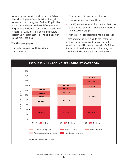required by law to update its *Plan for HIV-Related Research* each year before submission of budget requests for the coming year. To identify priorities in the plan in the past has been difficult because the plan must include all current and probable areas of research. OAR identifies priorities for future research up front for each topic, which helps with an analysis of the plan.

The 2001 plan proposes to:

• Conduct domestic and international vaccine trials.

- Develop and test new vaccine strategies.
- Improve animal models and trials.
- Identify and develop functional antibodies to use against maternal-infant transmission in order to inform vaccine design.
- Move vaccine concepts rapidly to clinical tests.

These priorities are very close to the Treatment Action Group's recommendations made in its recent report on NIH-funded research. OAR has tracked NIH vaccine spending in five categories. Trends for the last three years are shown below.

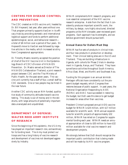## **CENTERS FOR DISEASE CONTROL AND PREVENTION**

The CDC created an AIDS vaccine unit, headed by Dr. Bill Heyward, last year, after years without one. That program primarily supports VaxGen in its efficacy trials by providing domestic and international logistical support and funds to perform additional epidemiological, social, and behavioral research a total of \$8 million over a period of four years. Dr. Heyward's move to VaxGen was followed by negative articles in the media, which increased scrutiny from Congressional appropriators.

Dr. Timothy Mastro recently accepted the position of chief of the HIV Vaccine Unit in the Epidemiology Branch of CDC's Division of HIV/AIDS Prevention. Dr. Mastro served as Director of The HIV/AIDS Collaboration-Thailand, a joint research project between CDC and the Thai Ministry of Public Health, for the past seven years. The vaccine unit currently has a staff of four, a small staff by CDC standards. One or two people may be hired in the near future.

Another CDC activity was an NIH-funded, qualitative study of community attitudes toward vaccine testing. This study is out of money and in the doldrums, with large amounts of potentially important data unanalyzed and unpublished.

## **DEPARTMENT OF DEFENSE: WALTER REED ARMY INSTITUTE OF RESEARCH**

Since the beginning of this epidemic, the US Army has played an important research role, extraordinary for its funding level. The Army must protect our troops and has a long history of vaccine research and development of vaccines not developed aggressively by industry.

WRAIR complements NIH research programs, and is an essential component of the HIV vaccine research enterprise. Aside from the fact that it consistently produces important scientific work, the military, by design, runs highly structured, directed programs unlike NIH's broader, peer-reviewed grant programs. Each approach has its strengths, and we believe government should pursue both.

#### **Annual Dance for Dollars Must Stop**

WRAIR has five sets of products in clinical trials and four new products in production or development. Their clinical testing sites are in the US and Thailand. They are building infrastructure in Uganda, with cohorts for Phase 2 trials in development in Uganda, Kenya, and Thailand. They have surveillance activities throughout South America, Africa (East, West, and North) and Southeast Asia.

Funding for this program is an annual skirmish. Pentagon officials have consistently cut the program's budget requests, which Congress then restores because of public support. In past years, the National Organization Responding to AIDS (NORA) and AVAC have succeeded in restoring the budget, but DoD uses this dance to get budget increases for areas other than vaccines.

President Clinton's proposed annual AIDS-vaccine budget for WRAIR is \$24 million, with \$17 million available for scientific work. With annual expenditures for scientific projects of approximately \$32 million, WRAIR has relied on Congress for supplemental funding each year. WRAIR needs an annual appropriation of close to \$50 million to have \$32 million available for vital vaccine research and development projects.

We strongly believe that DoD should recognize the important public contribution that is being made and will be made by its HIV vaccine program.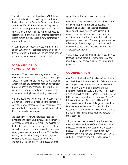The defense department should give WRAIR reasonable funding in its budget requests, in light of the fact that the UN Security Council and others clearly identify AIDS as a serious security risk. An annual DoD appropriation of approximately \$280 billion, with a pittance of \$50 million for vaccine research, will allow meaningful progress against this disease, which our troops could now contract anywhere in the world.

WRAIR plans to conduct a Phase 3 trial in Thailand in 2002 that will compare several prime boost strategies, which will probably include combinations of DNA or Canarypox and gp120 or gp140.

## **FOOD AND DRUG ADMINISTRATION**

Because HIV vaccines have progressed so slowly, the ultimate role of the FDA has been under-appreciated. This agency must approve the initiation of human trials of any candidate vaccine, any efficacy trials, and license any product. FDA must secure public safety for drugs, foods, and biological products—an increasingly overwhelming responsibility.

We have heard few complaints to date about FDA's willingness to work with vaccine developers and move their products forward. FDA encourages companies and others to work with them before application to accelerate the process.

Last year, FDA gave two candidate vaccines Investigational New Drug status, allowing them to move forward with clinical trials. The average for the last five years has been three per year. These applications must come from researchers, developers, or government sponsors, but the FDA review process, coupled with rapidly escalating agency requirements for data needed to complete an application, can add many years of research after

completion of the first successful efficacy trial.

FDA must be encouraged to expedite the vaccine development process as much as possible. In response to activists' demands for expedited approvals, the agency developed streamlined processes and special programs to get drugs for AIDS and other life-threatening illnesses to the people who need them. Drug companies welcomed this change. The Biologics group at FDA, which oversees vaccines, could take a lesson from the Therapeutics division.

AVAC knows that trial participants' safety must be foremost, but we commit to work with FDA and investigators to improve existing regulations and processes.

#### **COORDINATION**

AVAC and the President's Advisory Council have criticized the mechanisms by which federal agencies work together. Dr. Nathanson was charged with coordinating the work of these agencies at a President's meeting on AIDS in 1998. He convenes a biennial meeting of NIH, Walter Reed, CDC, and FDA to share information. Dr. Margaret "Peggy" Johnston, Assistant Director for HIV/AIDS Vaccines at the Institute of Allergy and Infectious Diseases, reports directly to Dr. Fauci for this responsibility. Individual managers in the agencies maintain close relationships with counterparts in other agencies.

Still, as in years past, we see little evidence that these agencies coordinate efforts effectively. With increased awareness of the economic and security impact of AIDS and the need for international research and trials, the State Department, USAID, and others should be brought into the process.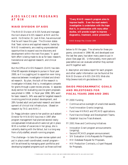## **AIDS VACCINE PROGRAMS AT NIH**

#### **NIAID DIVISION OF AIDS**

The NIAID Division of AIDS funds and manages the lion's share of AIDS research at NIH and the world. Its Director, Dr. Jack Killen, has announced that he will leave this year. The Division states that "basic science and applied research, fueled by NIAID investments, are creating unprecedented opportunities to expand vaccine discovery and development within the next five years." A good faith effort is being made to do so for basic research, translational and applied research, and clinical research.

But the Office of AIDS Research (OAR) has identified 85 separate strategies to pursue in fiscal year 2000, so it is a juggling act to apportion ever rising resources between investigator-initiated and directed research. By plan, the bulk of the research is investigator-initiated, that is, investigators compete for grants through a peer-review process. A separate study section for evaluating vaccine grant proposals was piloted in 1998. In fiscal year 1998, 38% went for basic research, 34% was used for targeted research involving preclinical product development, and 28% funded adult and perinatal research and development of clinical trial infrastructure. (Based on research by TAG and AVAC.)

Dr. Peggy Johnston came to her position as Assistant Director for HIV/AIDS Vaccines in 1997 after program management had planned several newly conceptualized initiatives which were not yet in place. With a number of vacancies in her group, she is valiantly dealing with the fallout, but is a long way from a fully-staffed, smooth-running program.

The challenge—to take the peer-review system and put in place a well-coordinated, overall program will be achieved by managing grant portfolios and developing targeted programs such as those outlined

*"Every NIAID research program aims to improve health. Even the most esoteric investigation is undertaken with the hope that it, in combination with many other studies, will provide insight to improve diagnostics, treatment, and/or prevention."*

NIAID Strategic Plan, October 1999

below to fill the gaps. The schema for these programs, conceived in 1996–98, and developed over the last few years, has taken many years to put in place (See page 16). Unfortunately, more years will pass before we can evaluate whether they worked and fit together well.

A description and status report for each program and other useful information can be found at the NIAID Division of AIDS (DAIDS) Web site: http://www.niaid.nih.gov/aidsvaccine

## **DAIDS PROGRAMMATIC GOALS AND MILESTONES FOR FISCAL YEARS 2000 AND 2001**

FY 2000 Funding

- Continue active oversight of unsolicited awards.
- Fund Innovation Grants (ongoing).
- Fund new HIVRAD and IPCAVD applications.
- Fund Vaccine Design and Development Teams.
- Establish Vaccine Trials Network.

FY 2001 New and Continuing Initiatives

- Innovation Grant program announcements (ongoing).
- Second IPCAVD program announcement.
- SIV Evaluation Units Requests for Proposals.
- HIV Database Request for Proposals.
- HIV Production Contracts, a 3-part Request for Proposals.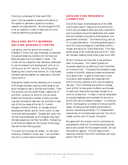Planning is underway for fiscal year 2002.

Soon it will be possible to examine the ability of this system to generate a pipeline of product research and development. We encourage DAIDS to do so carefully in order to make sure its initiatives are performing as planned.

## **DALE AND BETTY BUMPERS VACCINE RESEARCH CENTER**

Last spring, near the second anniversary of President Clinton's ten year challenge, he attended the ground-breaking ceremony for the Dale and Betty Bumpers Vaccine Research Center. The Center will be a beautiful new laboratory dedicated to vaccine research and development, with an initial focus on an HIV vaccine. Since the ground breaking, the Center's new director, Dr. Gary Nabel, has been putting together an organization and waiting to move in.

Meanwhile, Nabel's former laboratory at University of Michigan has been making a wide range of construct antigens to test in animals and humans. Their first protocol will be a small Phase 1 safety trial of one DNA construct at the NIH clinical center. Nabel has conducted a number of planning meetings and recruited at least two top scientists to lead two of the four areas of the lab: Dr. Gordon Douglas, formerly of Merck, to manage product development efforts, and Dr. Norm Letvin to lead its animal testing program. Douglas and Letvin are not full time employees, so the program may have the best people but not their full effort. Remaining to be filled are leaders for the human immunology labs and human testing groups.

This team will be under tall orders. At last year's ceremony, President Clinton said, "I am confident that this is a place where miracles will happen.

#### **AIDS VACCINE RESEARCH COMMITTEE**

One of the major recommendations of the 1996 Levine panel was to "restructure the entire NIH/ AIDS vaccine research effort and that a trans-NIH vaccine program should be established with leadership and oversight provided by distinguished, nongovernment scientists." The restructuring, such as it is, is described above. The distinguished panel is the AIDS Vaccine Research Committee (AVRC), chosen and led by Dr. David Baltimore. This highprofile group of ten scientists and one AVAC member has been meeting three times a year since 1997.

What it has done and how well it has worked is open to discussion. *IAVI Report* quoted one unnamed researcher as referring to the Committee as "a science club." The group has reviewed a large number of scientific issues and made recommendations about them. It gave its imprimatur to the innovation grant program and organized with NIAID the only national AIDS vaccine meeting last year. The Committee has relied on management at NIH to help guide its efforts, and focused on particular issues that have been brought to or come to its attention. To date, it has not attempted to provide leadership and oversight for the entire NIH/AIDS vaccine research program. In its tenure, AVRC has focused on a number of critical scientific issues, including animal models and primate resources, neutralizing antibody, CTL measurement, mechanisms of live attenuated vaccines, the role of clades, vectors, and, of course, innovation.

We agree with the original Levine Committee recommendation that the Committee should provide advice and consent for the program overall, not just the scientific agenda. This will require more resources, direction from the Committee, and cooperation from NIH.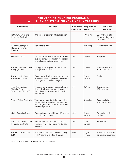#### **NIH VACCINE FUNDING PROGRAMS: WILL THEY DELIVER A PREVENTIVE HIV VACCINE?**

| <b>INITIATIVES</b>                                                               | <b>PURPOSE</b>                                                                                                                                               | DATE OF 1ST<br><b>APPLICATIONS</b> | <b>FREQUENCY OF</b><br><b>APPLICATIONS</b> | # OF AWARDS<br><b>TO DATE (4/00)</b>                                       |
|----------------------------------------------------------------------------------|--------------------------------------------------------------------------------------------------------------------------------------------------------------|------------------------------------|--------------------------------------------|----------------------------------------------------------------------------|
| Extramural R01 Grants;<br><b>Intramural Contracts</b>                            | Unsolicited investigator-initiated research.                                                                                                                 |                                    | On-going                                   | 80 new R01 grants, 55<br>full and partial intramu-<br>ral awards in FY1999 |
| Reagent Support; HIV<br>Molecular Immunology<br>Database                         | Researcher support.                                                                                                                                          |                                    | On-going                                   | 2 contracts (1 each)                                                       |
| <b>Innovation Grants</b>                                                         | To draw researchers into the HIV vaccine<br>field and increase the number of promising<br>concepts entering the research pipeline.                           | 1997                               | 3x/year                                    | 191 grants                                                                 |
| <b>HIV Vaccine Research and</b><br>Design (HIVRAD)                               | To support development of HIV vaccine<br>concepts into products.                                                                                             | 1998                               | 1x/year                                    | 3 complete awards,<br>1 partial award                                      |
| HIV Vaccine Design and<br>Development Teams                                      | To promote a development-oriented approach<br>to vaccines by funding teams of researchers<br>for long-term coordinated projects.                             | 1999                               | 5 year<br>awards                           | Pending                                                                    |
| Integrated Preclinical /<br><b>Clinical AIDS Vaccine</b><br>Development (IPCAVD) | To encourage academic-industry collabora-<br>tions that will move vaccines through<br>the final preclinical stages and into early<br>clinical trials.        | 1997                               | 1x/year                                    | 8 active awards,<br>12 total awards                                        |
| <b>Primate Testing Contracts</b>                                                 | To create a standardized challenge system<br>that would allow investigators around the<br>world to generate comparable results with<br>vaccines in primates. |                                    | On-going                                   | Supplements to 2<br>existing contracts                                     |
| Simian Evaluation Units                                                          | To evaluate promising SIV and HIV vaccines<br>in non-human primates.                                                                                         | 1998                               | 5 year<br>awards                           | Renewal competition<br>pending                                             |
| <b>HIV Vaccine Development</b><br><b>Resources Contracts</b>                     | Resources to facilitate development of<br>promising vaccine candidates into testable<br>products.                                                            | 1998                               | 7 year<br>awards                           | 14 contracts                                                               |
| Vaccine Trials Network<br>(VTN)                                                  | Domestic and international human testing<br>of HIV vaccine candidates, all phases.                                                                           | 1998                               | 5 year<br>awards                           | 3 core functions award-<br>ed, site awards pending                         |

**Source:** NIAID Division of AIDS and Office of AIDS Research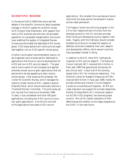#### **SCIENTIFIC REVIEW**

In the second half of 1999 there was a spirited debate in the scientific community about proposed changes in the NIH system for scientific review. OAR Director Neal Nathanson, with support from many AIDS scientists and activists, led successful opposition to a proposed reorganization that would have redefined the system of Integrated Review Groups and eliminated the dedicated AIDS review group. AIDS study sections will continue to be organized together into an AIDS specific review group.

Another Levine panel recommendation was to create a separate vaccine study section dedicated to applications that focus on vaccine development for AIDS and non-AIDS vaccine research. The goal was to have a panel of vaccinologists and applied scientists review vaccine grant applications that are perceived to be less appealing to basic science review groups. After studying this proposal, the Center for Scientific Review, which manages the majority of peer review at NIH, created a Special Emphasis Panel, which should eventually become a Chartered Review Committee. This pilot study section has met five times since November 1998. To date, it has considered more than 450 grant applications, including the AIDS vaccine innovation grant applications. One-third to one-half of the applications have been AIDS vaccine

applications. We consider this a success and recommend that the study section be allowed to mature and be made permanent.

The Fogarty Center has a thriving program in the US to train researchers and clinicians from the developing world in the US, and also provides direct funding of developing country research institutes. Fogarty, with the Institutes, should consider broadening its focus to increase the capacity of affected countries to establish their own research and development efforts, which several countries have expressed interest in doing.

In addition to NIAID, other NIH institutes do important AIDS vaccine research. The National Cancer Institute (NCI) received \$21.4 million in fiscal year 1999 that goes almost exclusively for pre-clinical work. About half of this funding stayed within NCI for intramural researchers. The National Center for Research Resources (NCRR) received \$8.9 million in fiscal year 1999, mostly for primate centers and General Clinical Research Centers at universities and hospitals. NCRR provides important core support for primate researchers. Neither of these efforts, NCI intramural research nor NCRR AIDS programs, has received proper scrutiny. We call for careful evaluation of their effectiveness and relation to the larger programs by the AVRC in the near future.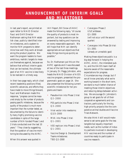# <span id="page-19-0"></span>**ANNOUNCEMENT OF INTERIM GOALS AND MILESTONES**

In last year's report, we printed an open letter to NIAID Director Fauci and OAR Director Nathanson asking that NIH establish clear, publicly identified interim milestones, and a system to monitor NIH programs to determine how well they work at broadening the product pipeline. We want the program leaders to have ambitious, realistic targets to measure themselves against, because we believe that without interim goals that can be tracked, the ultimate goal of an HIV vaccine is less likely to be realized in a timely way.

In their two-page reply, which cited recent leadership positions filled, scientific advances, and efforts they have made to move things forward, Fauci and Nathanson made this response, *"progress cannot be measured simply by the number of products passing specific milestones, because the quality of the product is much more important than the number tested*, as documented by the failure to identify many highly promising vaccine candidates in spite of the large number of NIH-funded Phase 1 and 2 trials conducted over the last 10 years." They close by suggesting that the question of vaccine monitoring be discussed by the AVRC.

When this answer was quoted in

*IAVI Report*, Bill Snow of AVAC made the following reply, "of course the quality of products is most important, but key questions can be answered by testing and improving on every reasonable approach. We still hope that NIH can identify appropriate annual objectives that keep things moving as quickly as possible."

So, Dr. Nathanson put this on the AVRC agenda and it was discussed at two of the last three meetings. In January, Dr. Peggy Johnston, who heads the NIAID Division of AIDS vaccine program, presented the programmatic goals on page 14. She also presented the following current scientific milestones for her programs and team:

- Pseudovirion into Phase 1 trial: Q2–2000
- P55 particle into Phase 1 trial: Q3–2000
- Viral vector into newborns: Q2/3–2000
- MVA into Phase 1 trial: Q1–2001
- VEE replicon into Phase 1 trial: Q1–2001
- Vaccine Design & Development Teams milestones: TBD Q2–2000
- Canarypox Phase 2 US/Caribbean, Q1–2000 (*will not occur until the second quarter*)
- Canarypox into Phase 2b trial: Q1–2001 (*already an unrealistic goal*)

Making these objectives public is a big step forward in helping the AVRC, AVAC, the interested public, and the DAIDS team itself all become aware of the reasonable expectations for progress. Circumstances may change, but if we all know precisely what we're working toward in the short term, we stand a much better chance of meeting those interim objectives and reducing delays between activities. We encourage Dr. Johnston's group to set goals for all of their cooperative agreements and contractors, particularly for the big, high-priority projects like the comparative animal studies and Vaccine Trials Network.

We also think it still would make sense to set some goals for the less tangible but equally important needs, such as the number of industry partners involved in developing HIV vaccines and the number of countries ready to participate in vaccine research.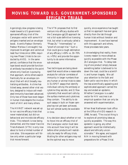# <span id="page-20-0"></span>**MOVING TOWARD U.S. GOVERNMENT-SPONSORED EFFICACY TRIALS**

Agonizingly slow progress is being made toward a US governmentsponsored efficacy trial of the Canarypox vector with some HIV antigens inserted and an envelope boost. Aventis Pasteur (formerly Pasteur Merieux Connaught) has improved its antigen and vectors at least four times since 1994, requiring new Phase 1 trials to be conducted by AVEG. In the same period, confidence that the envelope boost would provide functional antibody has eroded to the point where only VaxGen is pursuing that approach, while others search frantically for an envelope construct that will elicit broadly neutralizing antibodies. As time has ticked away, several other viral vectors, designed to induce cell-mediated immunity have been advanced. Only two of those have even begun in human trials despite the involvement of IAVI and many others.

The HIVNET network was set up to run vaccine efficacy trials that never materialized, but did run behavioral and microbicide efficacy trials. This network is now being dismantled, and the newer Vaccine Trials Network (VTN) is only now about to fund a limited number of core sites. Site expansion will follow only when a particular large trial moves forward.

The VTN proposes that its first venture into efficacy studies with the Canarypox-gp120 approach be not a full-scale definitive licensing trial, but what is variously called a "Phase 2b," "intermediate," or "proof-of-concept trial." Such a trial could give a rough estimation of any efficacy (<30% vs. 30–70% vs. >70%) and provide the opportunity to do some informative sub-analyses.

Two techniques are being developed that would allow a reasonable analysis for cellular correlates of immunity in larger numbers than any human or animal trials to date: 1) ELISPOT assays that identify individual cells by the antibody or cytokine they secrete, and 2) flow cytometry that would sort cells by the surface markers and cytokines they contain. The ability to do such assays in bulk on frozen samples has not yet been achieved, but will almost surely be available in time.

Any decision about whether or not to move into an efficacy trial of the Canarypox vector must take into account how long it will be before other products will realistically be ready for efficacy trials. Waiting for other antigens may not be the optimal way to move

quickly, since experience has taught us that no approach has ever gone directly from the lab through human trials without iteration and improvement. As we have learned with this approach and others, those processes take years.

Acknowledging that reality, there is every reason to move ahead as quickly as possible with the Phase 2b Canarypox trial. To delay testing of one product simply because something better is believed to lie down the road, could be a scientific and human tragedy. We call your attention to the Salk and Sabin polio vaccine story in which the less scientifically appealing and sophisticated approach carried the day and ended an epidemic. Whether Canarypox is a useful vector for HIV vaccines is an empirical question that can only be answered with experimentation.

When Neal Nathanson took office at the Office of AIDS research in 1998, he said, "The crucial thing is to explore all promising ideas as quickly as possible. The way this epidemic is going, any other approach would be intellectually absurd and ethically unconscionable." We agree, and support NIH in moving forward with preparations for a Phase 3 trial.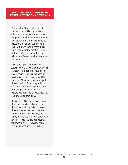Maybe all we'll find out is that this approach to an HIV vaccine is not efficacious, but even that would be progress. Certainly we'll have a better idea of how the animal experiments relate to the human. And government will have done a Phase 3 HIV vaccine trial for the first time, which will make the subsequent trials of related or different vaccines smoother and faster.

Two years ago in our *Agenda for Action*, AVAC stated that a far greater number of clinical trials must be initiated if there is to be any chance of reaching a ten-year goal for an HIV vaccine. Then and now, we support the evaluation of vaccine products in clinical trials when the products and trial designs are likely to help researchers learn more about vaccines and protection from HIV.

If candidate HIV vaccines were drugs that could totally eradicate an infection, they would be tested on even the slimmest evidence of potential. For both drugs and vaccines, uncertainty is involved and lives potentially saved. Where there is real potential for progress on HIV vaccine research, it is incumbent upon us to act.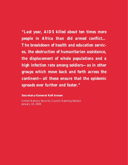*"Last year, AIDS killed about ten times more people in Africa than did armed conflict… The breakdown of health and education services, the obstruction of humanitarian assistance, the displacement of whole populations and a high infection rate among soldiers—as in other groups which move back and forth across the continent—all these ensure that the epidemic spreads ever further and faster."* 

## **Secretary-General Kofi Annan**

United Nations Security Council Opening Session January 10, 2000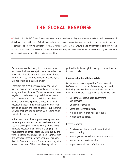# **THE GLOBAL RESPONSE**

<span id="page-23-0"></span>▶ STATUS UNAIDS Ethics Guidelines issued • IAVI receives funding and signs contracts • Public awareness of global nature of epidemic • Multiple human trials beginning • Increasing government interest • Increasing number of partnerships • Growing advocacy ▶ RECOMMENDATIONS Ensure ethical trials through advocacy • Fund IAVI and other efforts to advance international research • Support new mechanisms to deliver existing vaccines • US government agencies should facilitate partnerships

Governments and citizenry in countries rich and poor have finally woken up to the magnitude of the international epidemic and its catastrophic impact on Africa, Asia, and other regions. Hopefully, we will not return to pleasant slumber.

Leaders in the West have recognized the importance of making vaccines primarily for use in developing world populations. Yet development of these targeted products has a long lead-time and somewhat uncertain outcomes. Deciding to make a product, or multiple products, to test in a certain population allows infecting viruses from that location to be used in the vaccine design. But the time between that decision and large scale testing could easily be five or more years.

In the mean time, these approaches may look less appealing, and new approaches may be conceptualized and developed. Simultaneously, almost every desirable population for testing is changing—its virus, its seroincidence (especially with quality prevention efforts) and its politics. The countries with demonstrated interest in vaccine trials, Thailand, Uganda, South Africa, and China are working with research partners. Other countries may not be

politically stable enough to live up to commitments to launch trials.

#### **Partnerships for clinical trials**

Other players have adopted the Department of Defense and IAVI mode of developing vaccines by brokering between developers and affected countries. Each research group wants a trial site to have:

- Cooperative, enthusiastic government and agencies.
- Scientific experience.
- Some health infrastructure.
- A sizable cohort of at-risk individuals.
- A high seroincidence.

#### Every site wants:

- Whatever vaccine approach currently looks most promising.
- An antigen developed from local virus strains.
- Access to a successful vaccine.
- Improvement of their infrastructure.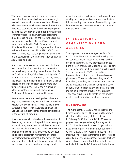The prime, targeted countries have an embarrassment of suitors. Most also have a serious enough epidemic to work with many researchers. These relationships require a long-term commitment from developed countries to work with developing-country scientists and provide training and infrastructure over many years. These important negotiations should probably not be left entirely to the agencies and scientists involved. Other US government agencies, including the State Department and USAID, and European Union agencies should help facilitate these matches. Since 1992, WHO and UNAIDS have been assisting developing countries in the development and implementation of national AIDS vaccine plans.

Several developing countries have made the longterm commitment of educating their populations and are already conducting preventive vaccine trials: Thailand, China, Cuba, Brazil, and Uganda. A VTN trial is set to begin in Haiti, Trinidad/Tobago, and Brazil. Planning for trials is in various stages of discussion or development in several more countries, including Russia, India, and a number of African countries, including Kenya, Zambia, Zimbabwe, Botswana, Malawi, and Ethiopia.

Several countries in the developed world are also beginning to create programs and invest in vaccine research and development. These include the UK, European Union, Japan, Australia, and Canada. Canada and the Netherlands are also participating in the Vaxgen efficacy trial.

Most encouraging to us has been the awakening of developing countries to the possibility of developing or contributing to the pre-clinical development of vaccine candidates themselves. Their resources are dwarfed by the companies, governments, and foundations of the Northern hemisphere, but these moves toward empowerment in the face of an overwhelming disaster bode well for cooperative activity and concerted action. Nothing, perhaps, would

move the vaccine development effort forward more quickly than invigorated governmental and scientific partnerships, and a sense of ownership by populations where vaccines must be tested and where they are most needed.

# **INTERNATIONAL ORGANIZATIONS AND AGENCIES**

The important international agencies, WHO-UNAIDS and World Bank are each making different contributions to globalize the AIDS vaccine development effort. A few charities and foundations, notably amfAR and Elizabeth Glaser Pediatric AIDS Foundation, are funding pre-clinical research. The International AIDS Vaccine Initiative, however, stands out for its activities and accomplishments. These include assembling a staff of fundraisers, scientists, and communicators that are attracting substantial charitable and public contributions, financing product development, and keeping the field informed of activity and progress. They have also been instrumental in the development of similar initiatives in other countries.

#### **UNAIDS/WHO**

The multi-agency UNAIDS has represented the United Nations since 1996 in calling the world's attention to the severity of this epidemic. In February, 2000, the UNAIDS AIDS vaccine program was reorganized as a joint program of UNAIDS and the World Health Organization's Expanded Program for Immunization called the WHO- UNAIDS HIV Vaccine Initiative. The Initiative "will focus on strengthening the [research] capacity in developing countries to ensure that vaccine trials are conducted with the highest ethical and scientific standards." Leaders of the Initiative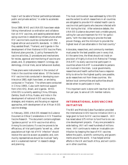hope it will be able to"broker partnerships between public and private sectors," in order to accelerate research.

Since 1989, WHO and UNAIDS have been establishing international co-ordination and collaboration on HIV vaccines, and assisting selected developing countries in establishing infrastructures where HIV vaccine trails could be conducted with the highest ethical and scientific standards. In 1992–3 they assisted Brazil, Thailand, and Uganda in the development of their National AIDS Vaccine Plans. National plans provide, 1) policy frameworks for vaccine activities, 2) procedures and mechanisms for review, approval and monitoring of vaccine proposals, and, 3) preparatory research (virology, epidemiology, clinical trials, social behavioral studies).

These plans were instrumental in the conduct of trials in the countries noted above. Of the twelve HIV vaccine trials conducted in developing countries since 1983, eight have been, or are being conducted in Thailand. The others were conducted in China (1993), Cuba (with technical support from UNAIDS), Brazil, and Uganda. WHO-UNAIDS is currently assisting China, Ethiopia, Zambia, South Africa, Russia, and India in the development of national AIDS vaccine plans, strategies, and missions, and focusing on regional approaches, with development of an African AIDS vaccine strategy.

In February, 2000, UNAIDS released its *Guidance Document on Ethical Considerations in HIV Preventive Vaccine Research*. The document contains eighteen "guidance points" on HIV-vaccine-trial ethics. Among its conclusions: if a vaccine proves to be efficacious, all trial participants "as well as…other populations at high risk of HIV infection" should receive the vaccine as soon as possible; and, community representatives should be involved "early and in a sustained manner" in research-design and planning.

The most controversial issue addressed by UNAIDS was the extent to which researchers in all countries are obligated to provide HIV-related health care to vaccine trial participants who become infected with HIV during the trial. After extensive debate, the UNAIDS Guidance document took a middle ground, calling for care and treatment for HIV for participants, "with the ideal being to provide the best proven therapy, and the minimum to provide the highest level of care attainable in the host country."

Advocates, researchers, and community members must press for the best possible care in every trial. At the same time, the West should not insist on provision of Highly Active Anti-Retroviral Therapy (HAART) to every vaccine-trial participant in countries where HAART is unavailable to persons not involved in the trials. Local governments, researchers and health authorities have a responsibility to strive for the highest quality care possible, as do researchers not from these countries. We believe local communities and authorities should decide when to participate in trials.

This important work is done with less than \$2 million per year, to serve all UN member nations.

## **INTERNATIONAL AIDS VACCINE INITIATIVE**

The Bill and Melinda Gates Foundation provided the International AIDS Vaccine Initiative (IAVI) a large grant to fund its HIV vaccine research. IAVI has raised about \$75 million to fund five to six vaccine development projects. If any one proceeds to wide testing, IAVI will need hundreds of millions more. IAVI continues to make an invaluable contribution by keeping the issue of HIV vaccines before the public, scientific community, and governments around the world. It has helped similar efforts in the UK and South Africa, and will continue in other countries.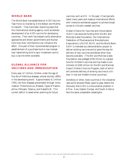#### **WORLD BANK**

The World Bank has established an AIDS Vaccine Task Force co-chaired by Amie Batson and Martha Ainsworth. They have been exploring ways that this international lending agency could accelerate development of an AIDS vaccine for developing countries. Their work has helped clarify alternative approaches and shown governments and foundations how their contributions can influence the effort. One part of their recommended program is establishment of a purchase fund or low-interest loan replenishing fund to spur investment and to buy a vaccine when available.

## **GLOBAL ALLIANCE FOR VACCINES AND IMMUNIZATION**

Every year, 6.7 million children under the age of five die of infectious diseases, almost entirely (99%) in the developing world. Approximately 4.1 million (70%) die from diseases preventable through immunization: Pneumococcus, Measles, Types of Haemophilus, Pertussis, Tetanus, and Hepatitis B. This current deficit is raised when planning for future

vaccines, such as HIV. In the past, it has typically taken many years and massive international efforts with intensive worldwide support to achieve broad access to critically needed vaccines.

Global Alliance for Vaccines and Immunization (GAVI) has received funding from the Bill and Melinda Gates Foundation, the International Federation of Pharmaceutical Manufacturers Associations, UNICEF, WHO, and the World Bank. GAVI is intended as a demonstration project to deliver existing vaccines and to pave the way for delivery of new vaccines worldwide when they become available. (The Bill and Melinda Gates Foundation also pledged \$750 million to a global fund for children's vaccines and has made a commitment of \$100 million for the Bill and Melinda Gates Children's Vaccine Program, both of which will promote delivery of existing vaccines to children in low and middle-income countries.)

Somehow or other, most countries in the industrialized world allowed fifteen years to pass, before the discovery that AIDS is a monumental problem in Africa. Asia, Eastern Europe, and South America face the same unbearable catastrophe.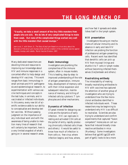# **THE LONG MARCH OF**

<span id="page-27-0"></span>*"Usually, we take a small amount of the tiny little monsters from people who are sick. We do lots of very complicated things to make them weak. But none of the complicated things worked very well with the little monsters that caused mumps."* 

Jean-Louis, Y. with Simon, D., *The Story of Jeryl Lynn* Based on a true story about the discovery of the Jeryl Lynn mumps strain and the creation of the combined vaccine against measles, mumps, and rubella. Merck Vaccine Division, 1997.

Many dedicated researchers are devoting time and resources to improving our knowledge about HIV and immune responses in a concerted effort to help design and develop HIV vaccines. This work ranges from basic immunology in small animals and HIV pathogenesis and epidemiological research, to experimentation with various vaccine techniques and concepts in the test tube, in animals, and in vaccinated or infected individuals. In this arena, every new bit of scientific evidence adds to our ability to conceptualize and develop better vaccines. Without passing judgment on the importance of any individual work and with the awareness of being unable to mention many lines of research that will certainly be important, here is a very limited snapshot of what's going on in several research areas.

#### **Basic immunology**

Investigators are plumbing the complexities of the immune system, often in mouse models. This is leading, step-by-step: to improved understanding of the role of antigen presentation, immune help, development of memory cells with their initial expansion and subsequent reduction, maintenance of memory, and killing of infected cells by cytotoxic T lymphocytes and other mechanisms.

#### **Dynamics of infection**

Of great interest for designing vaccines are the dynamics of early infection. HIV can replicate in resting and activated CD4 cells at the portal of entry, rapidly producing chronically infected cells (Haas and others.) It would be useful to know how much of infection is from cells vs. free virus; where infection begins; and how, where,

and how fast it spreads and establishes itself in the lymph system.

#### **HIV presentation**

Investigators focusing on mechanisms of cellular immunity and its absence in early and late HIV infection are probing the function of professional antigen-presenting cells. Recent work has identified that dendritic cells can pick up HIV from mucosal linings and shuttle it to T cells in lymph nodes without becoming infected themselves (Geijtenbeek and others.)

#### **Neutralizing antibody**

The intractability of making broadly neutralizing antibodies to HIV with vaccines has captured the attention of another group of investigators who are trying to understand how the few monoclonal antibodies identified in infected individuals work. These researchers may be beginning to understand why HIV is so difficult to neutralize. Scientists are also trying to understand and confirm experiments that captured "fusion competent" molecules on cell surfaces that induced broadly crossreactive antibodies in mice (Nunberg.) Some investigators believe that gp140 (gp120 with part of gp41) looks to be a more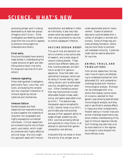# **SCIENCE , WHAT'S NEW**

promising antigen and it is being developed by at least two groups (Progenics and Chiron.) Other investigators are deleting variable loops from the virus which appears to enhance immunogenicity (Desrosiers and others.)

#### **Viral entry**

Structural biologists have recently made strides in understanding the crystal structure of gp41 and identifying sites to block viral entry for drugs and vaccines (Kim and others.)

#### **Immune signaling**

Other distinguished investigators, particularly Fauci, Levy, Paul, and Gallo, are studying the complex and very important interaction of immune signals by cellular cytokines and chemokines.

#### **Immune failure**

Epidemiologists and field researchers are meanwhile trying to piece together the mysteries of long-term non-progressors and highly-exposed-but-uninfected individuals. Clinical researchers are re-examining the role of therapeutic vaccination, which might be combined with highly effective antiviral drugs. Not only might this approach assist with immune

reconstitution and defense in infected individuals, it also may help answer some key questions about their value as preventive vaccines to control subsequent infection.

#### **VACCINE DESIGN DERBY**

The use of viral and bacterial vectors is currently a very active area of research, and a wide range of vectors is being studied. These vectors have different safety profiles, licensing statuses, and abilities to accept HIV genes or sequences. Now that safer, nonreplicating Canarypox vectors are far along in human testing, replicating vectors, such as attenuated vaccinia, are getting much attention. Other interesting vectors that may hold promise include: attenuated herpes viruses, adenovirus, and adeno-associated viruses (AAV.) The alphaviruses, Venezuelan equine encephalitis (VEE), Semliki forest virus (SFV), and Sindbis also hold promise because of their apparent ability to target antigen presenting cells. DNA vaccines are being refined and explored on many fronts, in an attempt to optimize their genetic composition and delivery.

Adjuvants that can boost or direct the activity of an antigen are an

under-appreciated area for improvement. Dozens of potential adjuvants could be tested with a variety of antigens in animals and humans. Some of these may promote antibody formation, others may be more likely to promote cell-mediated immunity. Cytokines might also be used as adjuvants for vaccines.

#### **ANIMAL TRIALS, AND TRIBULATIONS**

From animal researchers, the two main lines of inquiry are attempting to understand protection from attenuated SIV, and comparative challenge studies with intensive immunological analysis. Monkeys can be challenged with virus strains that display various levels of virulence, selected for their genetic type allowing sophisticated immunological analysis, and biopsied or sacrificed to analyze effects in tissue and other compartments. Parallel testing in human trials and animal challenge experiments may allow a better understanding of the type of immune response induced. Such findings may also help us to be more selective in the regimes we choose to move forward into future efficacy trials.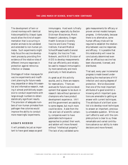The development of twin or cloned monkeys with identical histocompatibility (tissue) types would allow the kind of experimentation that is occurring in smaller animals to be validated and extended to non-human primates. Such experiments might help focus the vaccine-development process by providing firm evidence of the relative roles of different immune responses in protection against retrovirus infection or disease.

Shortages of Indian macaques for vaccine experiments and insufficient planning for future needs may jeopardize or delay this essential and informative research, making it almost prohibitively expensive to conduct experiments with large enough numbers to obtain statistically significant results. The provision of adequate numbers of non-human primates from pathogen-free colonies would improve the ability to conduct more meaningful experiments.

#### **ASSAYS NEEDED**

It will probably be just as important to have good assays as good

immunogens. Hard work is finally being done, especially by Becton Dickinson Biosciences, Merck Research Laboratory, Oregon Health Sciences University Vaccine and Gene Therapy Institute, Harvard Medical School/Massachusetts General Hospital, the Vaccine Trials Network, and NIAID Division of AIDS to develop measurements that can efficiently and reliably be used to measure immunogenicity more sensitively and more practically in field situations.

As great as all this activity sounds, and is, there are reasons for reservations. There are avenues for future vaccine development that appear to be stuck in research labs without sponsors or champions who have product development experience. IAVI and the government are assisting to some degree, but much more could be done. Aside from the risk and lack of scientific certainty, companies want to have patentable techniques or approaches to protect their work, and seldom will move forward without "intellectual property." The lack of any validated surrogate measurements for efficacy or proven animal models hampers progress. Unfortunately, because there is no alternative, some human efficacy trials will be required to establish the relationship between vaccine responses and efficacy. It is possible that this relationship will never be conclusively determined even after an efficacious vaccine has been discovered, licensed, and distributed.

That said, every year incremental progress is made toward understanding the mechanisms of HIV infection and varying degrees of protection. We've discovered that one of the most important attributes of a good scientist is knowing which important questions are amenable to getting an answer with current techniques. The attribute of a brilliant scientist is to develop novel techniques to answer an important, previously-untestable question. While we can't afford to wait until the complete picture is clear to us, these remarkable and varied contributions advance our ability to make decisions and move forward.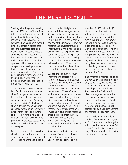# **THE PUSH TO "PULL"**

<span id="page-30-0"></span>Starting with the groundbreaking work of IAVI and the World Bank, intense interest has been kindled in the desirability of creating a market for AIDS vaccines in advance. The reasons are twofold. First, it is generally agreed that lack of a guaranteed profitable market slows the pace of research and development. Second, the history of vaccines has been that their introduction into the developing world has been unacceptably delayed while developers recoup their investments with sales in rich-country markets. There can be no argument that a widely distributed HIV vaccine for the developing world is a top international public health priority.

These facts have spawned a number of global initiatives: for a purchase fund; guaranteed low-cost loans; a tax credit that purchasers could pass on to sellers; "roaming market exclusivity," which would allow extension of one patent in exchange for giving up the vaccine patent for the developing world; and a liability fund similar to the one for childhood vaccines. The promise of widespread access at the end of the road is the chief benefit of these plans.

On the other hand, the market for global vaccines will never be as big as for computers or the Internet. It will probably never be as big as for

the blockbuster lifestyle drugs. And it will be a managed market. A case can be made that we are undervaluing immediate incentives in our rush to fill a pot of gold at the end of the rainbow. Money for research and development, and incentives that make research and development less expensive, also can have a substantial impact on the pace of research and development. At least one vaccine maker believes that an HIV vaccine could more profitably be sold and cost-justified, country by country.

We continue to push for "push" interventions, especially direct funding for research and development and tax credits that are more generous and targeted than those available for general research and development. These efforts to entice more companies and investigators into the effort give immediate incentives to those brave enough to try—not just to a single winner at rainbow's end. For this reason, The Gates Foundation is investing in push initiatives for all three big killers, through IAVI, their newly formed Malaria Vaccine Initiative, and the Tuberculosis International Vaccine Collaborative.

As described in *BioCentury,* the Bernstein Report on BioBusiness, the cost of developing a vaccine can be justified only by

a market of \$500 million to \$1 billion a year at maturity, and it will be difficult, if not impossible, for a purchase fund to maintain such expenditures. More promising would be to create a bona fide global market by reducing cost with global distribution. The original cost of the Hepatitis B vaccine was \$40 per shot, but the price has decreased substantially for developing-world markets. As *BioCentury* recognizes, the size of this market is potentially immense, but pharmaceutical companies "do not normally venture" there.

The immense investment to get all the way to a vaccine can probably only be borne by a large pharmaceutical company, even with substantial government assistance. This means that "pull" mechanisms are largely of value to the few biggest companies that can afford to run that course. Smaller companies must count on acquisition by a large pharmaceutical company or by making investment and marketing deals with them.

Do we really only want only a handful of companies working on an AIDS vaccine, considering they will have other, more lucrative fish to fry? Even the sixth biggest company, Chiron, looks like it's having a hard time keeping pace.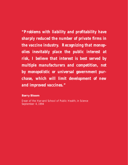*"Problems with liability and profitability have sharply reduced the number of private firms in the vaccine industry. Recognizing that monopolies inevitably place the public interest at risk, I believe that interest is best served by multiple manufacturers and competition, not by monopolistic or universal government purchase, which will limit development of new and improved vaccines."* 

## **Barry Bloom**

Dean of the Harvard School of Public Health, in *Science* September 4, 1994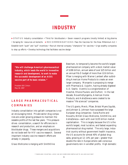# **INDUSTRY**

<span id="page-32-0"></span>0 **STATUS** Industry consolidation • Thirst for blockbusters • Seven research programs (mostly limited) at big pharma • Scraping for resources at biotechs ▶ RECOMMENDATIONS Pass the Vaccines for the New Millennium Act • Establish both "push" and "pull" incentives • Recruit internal company "champions" for vaccines • Urge wealthy companies to step up efforts • Develop technology that facilitates vaccine design

*"We will challenge America's pharmaceutical industry, which leads the world in innovative research and development, to work to make the successful development of an AIDS vaccine part of its basic mission."* 

President Bill Clinton May 18, 1997

# **LARGE PHARMACEUTICAL COMPANIES**

Industry consolidation into goliath companies is not an encouraging trend. Private sector drug companies are under growing pressure to maintain the sizeable profits of the last few years. This pressure drives consolidation, a search for efficiencies in research and production, and an emphasis on blockbuster drugs. These mergers and acquisitions do not bode well for HIV vaccine research. Several important industry vaccine research efforts are already in jeopardy.

Glaxo Wellcome is merging with SmithKline

Beecham, to temporarily become the world's largest pharmaceutical company with a stock market value of \$186 billion, annual sales of over \$25 billion and an annual R&D budget of more than \$3.6 billion. Pfizer is merging with Warner Lambert after outbidding American Home Products to create an even larger company. Monsanto is proposing to merge with Pharmacia & Upjohn, having already digested G.D. Searle. Aventis is a conglomeration of Hoechst, Rhone-Poulenc and DuPont. In the last decade, Novartis/Syngenta, American Home Products, and AstraZeneca were created to be massive "life sciences" companies.

The US giants, Merck, Pfizer, Bristol Myers Squibb, and Johnson & Johnson have surpassed the large European drug companies—Swiss Roche and Novartis, British Glaxo Wellcome, SmithKline, and AstraZeneca—each with over \$135 billion market capitalization. This is largely because the US is the world's largest, most lucrative, and fastest expanding pharmaceutical drug market. The only large, industrial country without government health insurance, the US accounts for almost 40% of global drug sales, growing at 12–14% per year—greater than double the rate in Europe where cash-conscious governments rein in windfall profits. High domestic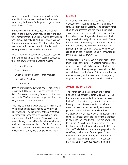growth has provided US pharmaceuticals with "a torrential income stream to reinvest in the ever more costly business of finding new drugs," according to *Financial Times*.

In this monster market, vaccines are a relatively small, niche industry, which may be lost in the shuffle of merger mania. The global market for vaccines was estimated at only \$1.7 billion 10 years ago and it has not risen much above \$3 billion today. Drugs give larger profit margins, less liability risk, and patent protection that is easier to maintain.

After a round of consolidations a decade ago, when there were three times as many vaccine companies, there are now only five big vaccine makers:

- Merck & Company
- Aventis Pasteur
- Wyeth-Lederle/American Home Products
- SmithKline Beecham
- Glaxo Wellcome.

Because of its parent, Novartis, and its history and activity with HIV vaccines, we consider Chiron a sixth. Because of its recently financed capital base, we consider VaxGen a seventh major vaccine company in the AIDS vaccine arena.

This year, we are able to say that, *at this moment*, all seven major companies appear to be working on HIV vaccines. Though several of these programs are modest for them, the increased activity is an achievement. SmithKline and Glaxo Wellcome have only begun their efforts, Wyeth's remains very small, and the scope and depth of Chiron's commitment is in question. In the last year, we have noted the following activity and changes, among them:

#### **MERCK**

After some years testing DNA constructs, Merck & Company began its first clinical trial of an HIV vaccine, an optimized *gag* vaccine. The company funds all of its own research and the Phase 1 trial is at several sites. The company plans for results of this trial to lead to a multi-gene DNA vaccine, which may be used ultimately with a vector boost. Merck has a history of developing important vaccines over the long haul and the resources to maintain this program, probably as long as they believe they can capitalize on their rights to the DNA immunization technology, licensed from Vical.

Unfortunately, in March, 2000, Merck warned that their current candidate HIV vaccine represents only a first step and is not likely to represent a final vaccine candidate. A company spokesman also predicted that development of an AIDS vaccine will take a number of years, but indicated Merck's long-term, ongoing commitment to produce such a vaccine.

#### **AVENTIS PASTEUR**

The French government, through the Agence Nationale de Recherches sur le Sida (ANRS) and the European Community, heavily support Aventis Pasteur's HIV vaccine program which has also relied heavily on the US government's clinical trials networks. Aventis controls the rights to several poxvirus vectors and have focused on their Canarypox vector, called ALVAC. It has taken the company almost a decade to improve this approach by adding to their constructs. They are now poised to test their ALVAC in a Phase 2 trial in the US, Caribbean, and Brazilian sites through the US HIV Vaccine Trials Network, which is in preparation for an efficacy trial planned for next year. Aventis Pasteur is also moving forward with WRAIR in Thailand. (See Trials: page 19). The company has rights to most poxvirus vectors, including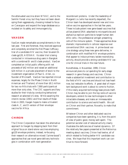the attenuated vaccinia strain NYVAC, and to the Semliki Forest virus, but they have not been developing them aggressively, choosing instead to focus on Canarypox and expand the large database accumulated on its safety and immunogenicity.

#### **VAXGEN**

VaxGen made remarkable accomplishments in the last year. First and foremost, they received approval and completely enrolled the first Phase 3 efficacy trial of a candidate HIV vaccine, their bivalent Bclade gp120, AIDSVAX. Its sister trial is being conducted in intravenous drug users in Bangkok with a combined B- and E-clade product. VaxGen completed an initial public offering with net proceeds of \$42 million and raised an additional \$24 million in a private placement of stock to the investment organization of Paul G. Allen, cofounder of Microsoft. VaxGen has reported clinical expenses, largely for the Phase 3 trials in North American and Thailand, of more than \$9.1 million for two no-frills trials with 7,900 participants at more than sixty sites. The CDC supports ancillary studies for their trials by conducting behavioral research at selected US sites. While awaiting the interim review (2001) and final results of these trials in 2003, Vaxgen hopes to make a trivalent clade A, C, and D version of their envelope vaccine for Africa.

#### **CHIRON**

The Chiron Corporation has taken the alternative approach to Vaxgen by stepping back from their original focus on stand-alone vaccines employing gp120 envelope proteins, instead, re-focusing their research on alternative mixed ("prime-boost") approaches that use novel gene-delivery technologies in combination with next-generation

recombinant proteins. Under the leadership of Margaret Liu (who has recently departed), the Chiron team has developed several new and innovative vaccine approaches in the last few years. These include potent new gene-based vaccines that utilize plasmid DNA adsorbed to microparticles and alphavirus replicon particles to target human dendritic cells—the professional antigen presenting cells of the immune system. These approaches show dramatic improvements in cellular response over conventional DNA vaccines. A prime-boost vaccine strategy using these new gene deliveries, in combination with modified HIV envelope proteins that appear to induce primary isolate neutralizing activity, should provide a strong candidate HIV vaccine for clinical trials in the near future.

Nonetheless, in November, 1999, Chiron announced plans to cut spending for early-stage research in gene therapy and vaccines. Chiron made a substantial investment and contribution to the field of HIV vaccines and should not lose heart now, but redouble its efforts. A great deal of important background work is about to come to fruition. If this newly acquired technology base proves itself, Chiron may be able to join the top ranks of vaccine developers, extend its new technologies to other intractable diseases, and make an immeasurable contribution to science and world health. We call on Chiron and their partner, Novartis, to make that commitment.

Whatever Chiron and other dedicated vaccine companies have been spending, it is, from the point of view of public good, money well-spent. The potential societal cost of reduced activity clearly illustrates the deficiencies of market dynamics. Of the relatively few papers presented at the Retrovirus meeting about vaccines, Chiron had twelve, all of which related to finding better HIV candidate vaccines. We hope that this important work can continue to move forward.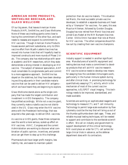#### **AMERICAN HOME PRODUCTS, SMITHKLINE BEECHAM, AND GLAXO WELLCOME**

Of our big seven, that leaves American Home Products (AHP), SmithKline, and Glaxo Wellcome. None of these vaccine/drug giants come close to having the commitment of the other four, and each needs to reassess and expand its commitment to HIV vaccines. Though American Home Products houses several pertinent subsidiaries, only its DNA vaccine effort from Wyeth-Lederle Vaccines has moved into human trials that will hopefully lead to improved constructs and more rounds of Phase 1 trials. The company also has relationships with several academic and NIH researchers, which they state demonstrate a strong interest in developing an HIV vaccine. The subject of takeover speculation, AHP must consolidate its conglomerate parts and commit to a more aggressive approach. SmithKline has stayed on the sidelines, but they have been developing exciting adjuvants in their candidate malaria vaccine that can be used to deliver HIV antigens which we have heard they are beginning to explore.

Glaxo Wellcome stands alone as the single company that has made the largest contribution and investment in AIDS therapeutics. The company has profited accordingly. While not a vaccine giant, they currently make a rubella vaccine not distributed in the US. Glaxo may enter the HIV vaccine arena with the Powderject technology, that was acquired a few years ago, to deliver DNA vaccines.

As vaccine or AIDS giants, these three companies owe the world a more serious, scaled-up effort on HIV vaccines. AVAC, Congress and the current Administration are working to discover what combination of public opinion, incentives, and persistence can get them to step up to this challenge.

Pharmaceuticals have larger profit margins, less liability risk, and easier-to-maintain patent

protection than do vaccine makers. This situation led Merck, the most successful private vaccine developer, to establish a separate business unit headed by a "champion" for vaccines. For years, this was Maurice Hilleman, followed by Gordon Douglas. Douglas has now retired from Merck Vaccines and joined Gary Nabel at the NIH Bumpers Vaccines Center. Emilio Emini has taken that role at Merck for HIV vaccines. The other companies should follow suit by creating their own vaccine champions.

#### **SCIENTIFIC EQUIPMENT**

Industry support is needed in another significant area. Manufacturers of scientific equipment and testing devices must make a commitment to develop products that will aid HIV vaccine research. HIV vaccine science needs to develop new means for assaying how the candidate immunogens work, particularly in the human immune system during and after clinical trials. A promising technology for quantitatively assaying CTL activity, which is the mechanism of most of the current vaccine approaches, is ELISPOT visual imaging. This technology needs to be improved, standardized, and made available.

Scientists are working on sophisticated reagents and technology to measure CTL and T cell immunity. Technology to permit large-scale evaluation by flow cytometry could be the key that will bring us out of the thumbs-up/thumbs-down dark ages. These, and reliable mucosal testing techniques, will be needed to support and contribute to the worldwide scientific effort. We call on industry and government to support development of this critical technology. NIH could place an order for CTL cell sorters for large clinical trials in advance, as the defense department does with its contractors.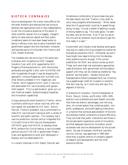## **BIOTECH COMPANIES**

Vaccine development life is even more difficult for the small biotechs and startups that are trying to develop new approaches more or less independently. Given the innovative potential of this sector in other scientific arenas, this is a tragedy. Vaxgen's ability to raise venture capital and then public investment seems to have been based solely on being in efficacy trials, due to early Genentech and government support and the charismatic character and business savvy of its founder, Don Francis, and CEO, Robert Nowinski.

The notables who are surviving in this arena are: Alphavax with its alphavirus VEE; Targeted Genetics Corp. with AAV supported by IAVI; Progenics Pharmaceuticals Inc. with monoclonal antibodies and gp140; CelSci with its HGP30; UBI with its peptides (though it may be dropping this approach); Immune Response with its killed virus (that remains untested in HIV negatives); and Therion, which supports its HIV work in vaccinia and attenuated HIV vaccines solely with government support. This is a sad situation, given our current financial wealth, biotechnological expertise, and innovation capabilities.

Unique among the small biotechs is Therion, which is primarily working on cancer vaccines, with venture capital not available for HIV work. Dennis Panicali, Therion's president, has a commitment to make HIV vaccines and is doing so with a variety of scientific and public partners. The company has a vaccine production contract and an Integrated Pre-Clinical/Clinical AIDS Vaccine Development (IPCAVD) grant from NIAID, to develop three MVA products for clinical testing, a vaccinia-based particle vaccine TCB-IIIB in government Phase 1 trials, and agreements to work with developers in fowlpox and live attenuated HIV.

In a recent interview in *IAVI Report*, Panicali said

he believes a combination of poxviruses may give the best results, but that "Therion is too small to carry many programs simultaneously." When asked what the US government could do to speed things along, he says, "It's just a matter of getting a couple of strong leaders to say, 'This looks good, I've seen the data, let's do the trials. And I'll put my ass on the line and do whatever has to be done to get this trial ready in a year.'"

Government and industry must develop some good, new way to create a thriving competitive market for biomedical prevention R&D. Otherwise, we won't have bright new ideas to bring into the development pipeline quickly enough, if the current predilection for DNA and vectors comes up short. These, and more high-risk exploratory approaches need stimulation with government and foundation support until they can be viewed as credible by "big pharma" and the public. Senator Kerry's and Representative Pelosi's proposed R&D tax incentive has a passthrough credit for investors in biotechs that don't pay tax, so it could very well spur this segment of activity.

In *Networks of Innovation: Vaccine Development at Merck, Sharp & Dohme, and Mulford, 1895–1995*, authors Louis Galambos and Jane Sewell conclude that there are distinct advantages, over the long term, of a mixed system that combines public, nonprofit, professional, and profit-seeking institutions in a manner that achieves specialization of function and employs market constraints to ensure efficiency. They conclude that public institutions and those in the private sector experience cycles of innovation, and that adequate returns for innovation would accelerate new vaccine development by the private sector. By way of example, the Merck varicella vaccine, Varivax, was approved in 1995 after more than a quarter-century of company support of research and development and five chief executive officers.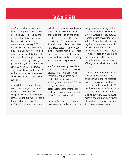# **VAXGEN**

<span id="page-37-0"></span>VaxGen is not your traditional biotech company. They have broken the mold several times, commencing from their unorthodox beginnings in the halls of Genentech, to the way CEO Robert Nowinski raised their huge first-round of financing from hundreds of people with both investment and philanthropic interests. Even tackling a high risk/high payoff project, such as making an effective AIDS vaccine from a single recombinant protein, gp120, without a major back-up program, challenges the unwritten rules for start-ups.

And yet, they seem to achieve results year after year that would make the largest pharmaceutical company envious. VaxGen is currently carrying out two large-scale Phase 3 clinical trials of its AIDSVAX vaccines, one princi-

pally in North America and one in Thailand. VaxGen has completed the initial inoculation and enrollment of more than 5,000 volunteers in their North American Phase 3 clinical trial of their bivalent gp120-based AIDSVAX vaccine formulated with alum. There is still significant uncertainty about whether the antibodies induced by AIDSVAX will be protective.

VaxGen has recently teamed up with the CDC to conduct epidemiological, social and behavioral research at approximately onetenth of their trial centers. Although work with the CDC has not yet started at these sites, it broadens the useful information that will be gleaned from the first Phase 3 HIV vaccine trial.

Founder Don Francis has always been tenacious in dealing with the many issues surrounding clinical trial design and implementation, and has overcome many hurdles. Breakthroughs (becoming infected with HIV some time after receiving the vaccine when one would hope for protection) are expected in any vaccine trial, and analysis of HIV serotypes and time course of infection may lead to a better understanding of the vaccine's efficacy, or partial efficacy, or lack thereof.

One way or another, VaxGen will have an answer regarding the effectiveness of the first recombinant HIV vaccine, as well as precedent for testing other AIDS vaccines as they move forward into the clinic. This answer will be a triumph for AIDS vaccine development and will provide a rudder of sorts for the next generation of AIDS vaccine researchers.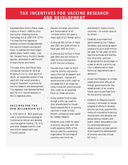# <span id="page-38-0"></span>**TAX INCENTIVES FOR VACCINE RESEARCH AND DEVELOPMENT**

Representative Nancy Pelosi made history in March, 1999 by introducing the *Lifesaving Vaccine Technology Act of 1999* (HR 1274.) This was the first legislative attempt to build a bridge between the vaccine industry and government, to address the most urgent global public health needs. Last fall, Senator Kerry, the bill's Senate sponsor, attempted to add the bill to expiring tax provisions.

This year, Kerry and Pelosi have introduced *Vaccines for the New Millennium Act (*S. 2132 and H.R. 3812), an expanded version of last year's bill that would provide a range of important incentives for vaccine research and development. *This legislation now becomes the focal point for HIV vaccine advocacy in the US legislative arena*.

#### **VACCINES FOR THE NEW MILLENNIUM ACT**

S. 2132 and H.R. 3812 would provide a comprehensive package of incentives to deliver and develop vaccines against malaria, TB, HIV, and other diseases that kill over one million people each year. The bills would:

- Declare universal vaccination and immunization of all children within ten years a major goal of US foreign policy.
- Authorize \$50 million in fiscal year 2001 and \$100 million in fiscal year 2002 for GAVI.
- Authorize \$10 million in fiscal year 2001 and \$20 million in 2002 for the International AIDS Vaccine Initiative.
- Provide a tax credit on R&D costs for priority vaccines to reduce the cost of research and development. (Senate bill would provide a 50% credit on increased R&D on these vaccines; House bill would provide 30% credit on all qualified R&D on these vaccines.)
- Allow smaller firms to pass though a 25% tax credit to their shareholders for investments towards R&D on priority vaccines in order to help biotech companies raise capital for needed research.
- Establish a tax credit for sales of priority vaccines, with the credit equaling 100% of the amount paid by a qualifying organization for purchase of a priority vaccine to be

distributed in lower income countries —to a total value of \$1 billion.

- Establish a purchase fund administered by the Treasury Secretary, and authorize appropriations of up to \$100 million per year, for ten years, to facilitate the purchase and distribution of priority vaccines. (Appropriations would begin in a year in which a priority vaccine is determined to meet technical requirements set in advance.)
- Direct the President to initiate negotiations with officials of foreign governments for the establishment of an international vaccine purchase fund for the priority vaccines.
- Establish a *Lifesaving Vaccine Advisory Commission* to review progress of efforts to develop priority vaccines, examine the merits of innovative financing mechanisms, and develop consensus among industry and public health advocates on policy recommendations to advance public-private partnerships toward the development of priority vaccines (House bill only.)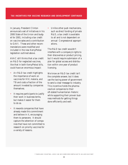In January, President Clinton announced a set of initiatives in his 2000 State of the Union and budget for 2001, including a tax credit on vaccine sales and a contribution to GAVI. These and other recommendations were modified and included in the new Kerry/Pelosi legislation outlined above.

AVAC still thinks that a tax credit on R&D for neglected vaccines, like that in both Kerry/Pelosi bills, could have an enormous impact:

- An R&D tax credit highlights the importance of work on vaccines for HIV, malaria, and TB and costs a fraction of the amount invested by companies themselves.
- It requires participants to justify their work in business terms, but makes it easier for them to do so.
- It rewards companies that have already made this commitment and believe in it, encouraging them to persevere. It should capture the attention of companies that have not committed to research on priority vaccines for a variety of reasons.

Unlike other push mechanisms, such as direct funding of private R&D, a tax credit is available to all and is not dependent on annual Congressional appropriations.

The R&D tax credit wouldn't interfere with a company's rights to their discoveries or product pricing, but it would require submission of a plan for global access and distribution within one year of product licensing.

We know an R&D tax credit isn't the complete answer, but it does use the taxing power of government to send a clear message to industry. This incentive holds the pharmaceutical companies to their oft-stated humanitarian rhetoric while supporting their proven business methods for getting things done efficiently and well.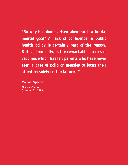*"So why has doubt arisen about such a fundamental good? A lack of confidence in public health policy is certainly part of the reason. But so, ironically, is the remarkable success of vaccines which has left parents who have never seen a case of polio or measles to focus their attention solely on the failures."* 

**Michael Specter** 

*The New Yorker* October 11, 1999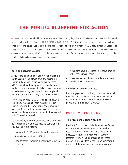# <span id="page-41-0"></span>**THE PUBLIC: BLUEPRINT FOR ACTION**

0 **STATUS** Increased visibility of international epidemic • Ongoing advocacy by affected communities • Successful trial recruitment by VaxGen ▶RECOMMENDATIONS • AIDS service-organizations should have staff dedicated to vaccine issues • Social harm studies and alleviation efforts must continue • CDC should integrate vaccines as a key part of the prevention agenda • NIH must continue to invest in communications • Interested people should: demand action from elected officials: join a Community Advisory Board: consider the pros and cons of participating in a trial: help build a social movement for vaccines

#### **Vaccine Activism Wanted**

A high level of community activity has graced the battle against AIDS almost from the beginning. Community activists critiqued and encouraged AIDS research and policy, which created a new model to combat disease. Activists played key roles in decision-making about how to treat people with AIDS, medically and socially, since the mid-eighties.

The NIAID Division of AIDS pioneered inclusion of community representatives in research, through Community Constituency Groups and Community Advisory Boards, with varying degrees of success. AVAC's existence speaks to community involvement in AIDS vaccine research.

Yet, in general, the sense of urgency about therapeutic research fails to animate vaccine work, for some obvious and subtle reasons:

- People with AIDS do not clamor for a vaccine.
- The science involved is difficult.
- Industry faces economic disincentives to develop a vaccine.

• Americans have a predilection to solve problems rather than prevent them.

All these factors contribute to inertia in the quest for an effective HIV vaccine.

#### **Activism Promotes Success**

Public engagement is critically important, especially now that vaccine research and delivery issues are receiving increasing attention among the general public and in the halls of Congress.

## **POSITIVE FACTORS**

#### **The President Boosts Vaccines**

President Clinton used his bully pulpit to effect an unprecedented awareness about HIV vaccine research in the United States. He called for an increased focus on and resources for vaccine research—using AIDS as a focal point—most notably in his last State of the Union address and a variety of domestic and international venues.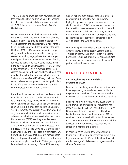The US media followed suit with news articles and features on the effort to develop an AIDS vaccine in outlets such as major daily newspapers, television's *60 Minutes,* and National Public Radio's *Marketplace*.

Other factors in the mix include several foundations, which led in supporting the efforts of IAVI, PAF, and amfAR to provide direct funds for HIV vaccine research and development. *Until There's a Cure Foundation* provided start-up money for both IAVI and AVAC. Many more foundations, especially large foundations, are needed. Led by the Gates Foundation, large, private foundations garnered publicity for increased attention and funding for vaccine work. The size of some awards made news before a single dime was spent. VaxGen's marketing campaign for sixty American test sites increased awareness in the gay and bisexual male community, although it took one and a half years to fill 5,400 slots in VaxGen's US efficacy trial. VaxGen's record pales when compared to the Salk polio trials in the fifties, which took only six months to fill with hundreds of thousands of children.

Polls show Americans support vaccine development strongly. In a Harris Poll conducted for amfAR in late 1998–early 1999, an overwhelming majority (96%) of American adults of all ages and educational levels think it is important to develop an AIDS vaccine. Seventy-two percent stated they would be very or somewhat willing to take a vaccine themselves or have their children vaccinated, and more than one-third (36%) said they would consider being a participant in an HIV vaccine clinical trial. The Global Health Council (GHC) released stunning results from a June, 1999 poll. Conducted by Lake Snell Perry and Associates, a Washington, DC firm, the poll revealed that 80% of Americans fear the global spread of infectious diseases, and the same number of people know that AIDS is a greater problem today than 10 years ago. Some 90% said they

support fighting such diseases at their source—in poor communities and the developing world. Eighty-five percent recognize that vaccines are crucial to the effort. GHC commissioned the poll in the hope that these issues resonate with citizens, in order to increase politicians' receptivity about a vaccine. GHC found that 40% of respondents were self-identified as conservative, compared to only 33% as liberal, and 23% as moderate.

One private poll showed large majorities of African Americans would participate in vaccine studies. This is significant, given that African Americans have been the subject of unethical research studies in the past, and, as a group, continue to suffer disparities in health care access.

## **NEGATIVE FACTORS**

#### **Anti-vaccine and Animal-rights Protests Increase**

Despite the underlying foundation for positive public engagement, growing elements are decidedly negative about vaccines. A nascent anti-vaccine movement challenges the use of childhood vaccines.

Led by parents who probably have never known a death from polio or measles, this movement has made a real splash. At their behest, the US House Government Reform Committee, led by chair Daniel Burton (R-IN), held hearings in 1999 on whether childhood vaccinations should be required. Representative Burton, himself, made a heartfelt but specious connection between vaccinations and autism in a member of his family.

In addition, some US military personnel resist taking required vaccinations against anthrax, a biological warfare agent. Without doubt, widespread media coverage of this issue encourages a negative climate for vaccines.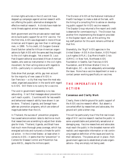Animal-rights activists in the US and UK have stepped up campaigns against animal research without offering the public alternative strategies for effective medical research. Activists have made terrorist threats against animal researchers.

Both government and the private sector need leaders to build public support for an HIV vaccine. For the first time, AIDS was diagnosed in more African American and Hispanic gay men than in white gay men, in 1999. To his credit, US Surgeon General David Satcher called for African-American organizations to fight AIDS with the same zeal they brought to the civil-rights struggle. Yet a recent *St. Louis Post-Dispatch* editorial excoriated African-American leaders, who were so instrumental in the civil-rights movement, for their aching silence with regards to AIDS—particularly in communities of faith.

Data show that younger, white, gay men account for the majority of new cases of AIDS in San Francisco —a city that may have the most educated, organized population in the world with regard to AIDS. Still there is no outcry for a vaccine.

The void in government leadership is no less astounding. It isn't that messages about prevention can't reach a public. Countries with far less wealth and behavioral-research ability have shown it can be done. Thailand, Uganda, and Senegal have safer-sex promotion programs, which are orders of magnitude better than the US.

In Thailand, the success of prevention programs has caused seroconversion rates to decline so much that researchers are scrambling to adjust their strategies for trials. Thailand, Uganda, and Brazil have had much more thorough press coverage, which has energized activists and nurtured a climate for political action. In the United States—at least when it comes to AIDS—it seems that the "prevention" in Centers for Disease Control and Prevention has gone AWOL, despite the millions spent.

The Division of AIDS at the National Institutes of Health has begun to make a stab at the task, with the hiring of a consulting firm to advise on developing public support for AIDS vaccine research. The Daystar Group returned a fine report and credit is deserved for commissioning it. The Division has another firm implementing the blueprint provided in the Daystar report, and, at this writing, the key staff position for this work remains unfilled at that firm.

Shamefully, the "Big 6" AIDS agencies in the United States—AIDS Action Boston, AIDS Project Los Angeles (APLA), Gay Men's Health Crisis (GMHC) in New York, Northwest AIDS Foundation in Seattle, San Francisco AIDS Foundation, and Whitman-Walker Clinic in Washington, DC—do not adequately acknowledge the issue. None has a vaccine department or even a contact person working specifically on vaccines.

# **THE IMPERATIVE TO ACTION**

#### **Consensus and Clarity Work**

Clearly, there is fertile ground for public support of the AIDS vaccine research effort. But absent a concerted effort by researchers and advocates, the ground will yield a bitter crop.

This will be particularly true if the first real knowledge of HIV vaccine research reaches the public in some unpredictable and potentially sensational or damaging way. Vaccine researchers and advocates must reach the public in the broadest manner with realistic and responsible information or risk continuing negative definition of the issues and work by their detractors. The pieces are all in place—from government agencies to established private organizations—they are simply not being used.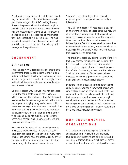What must be communicated is, at its core, remarkably uncomplicated. Infectious diseases are a clear and present danger, with AIDS leading the way; they can be prevented and there is real, tangible value in doing so; and vaccines are by far the very best and most effective way to do so. The work is substantial and subtle in its detailed implementation, but conceptually, is quite simple. The most important thing all involved can accomplish right now is to reach consensus for action, clarity in the message, and begin the work.

## **GOVERNMENT**

#### **NIH Must Lead**

This and past AVAC reports point out that the US government, through its programs at the National Institutes of Health, has the most extensive vaccine research program in the world. Accordingly, it must be the touchstone for public education and awareness on research issues.

One can question why the work was not done sooner, but the consultants hired by the Division of AIDS have done their job well. The Daystar report recommends a focused message similar to that above and urges a thoroughly integrated strategic public awareness campaign, which includes training for key personnel, written materials for internal and external dissemination, identification of lines of authority to respond quickly to public communications needs, and, perhaps most importantly, the use of a clear, consistent message.

However, the first target of the campaign must be the researchers themselves. At the few sites that have been conducting vaccine trials for many years, intense local efforts have enhanced visibility of vaccine issues. Community awareness and education can no longer be thought of as an extra, an

"add-on." It must be integral to all research. A general public campaign will succeed only in this context.

The CDC must adopt HIV vaccines as a key part of its prevention work. It has an extensive network of prevention planning councils throughout the country, yet vaccine is not found on their agendas. Given that most people involved in research believe that the first vaccine released for use will be moderately efficacious at best, prevention educators must begin the work now, to plan how to integrate that vaccine into communities.

The omission is especially glaring in light of the fact that large efficacy trials have begun in some fifty US cities, yet no prevention organizations have focused on the impact of trials on overall prevention efforts. Fortunately, at least in initial data from Thailand, the presence of trials seems to have increased awareness of prevention in general and had a desirable impact on seroincidence.

Different communities and cultures behave differently, however. We don't know what impact vaccine trials will have on behavior in other affected communities. It is entirely plausible, for instance, that in some communities safer behavior might actually decrease with awareness of vaccine trials because people come to believe that a vaccine is on the way to solve the problem—making responsible decisions about behavior unnecessary.

## **NON-GOVERNMENTAL ORGANIZATIONS**

AIDS organizations are struggling to maintain adequate funding. Meanwhile philanthropic foundations have clearly signaled their interest in vaccines, so this would seem a rich area for organizational investment from a financial position alone,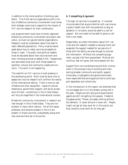in addition to the moral position of ending a pandemic. The AIDS service organizations with a history of effective community involvement must revise their strategic planning to respond to the impact of HIV vaccine research on their constituents.

Just as government must have a holistic approach embracing community involvement and public education, so must non-governmental organizations. Research must be undertaken about how best to reach affected populations. Policy must be developed about how to make vaccines accessible to those in need. The public and political leaders must be educated about how vaccines work and their immense promise to defeat AIDS. Researchers and advocates must work with those leaders to ascertain cultural and community needs and concerns. This work is not happening.

The need for an HIV vaccine is most pressing in the developing world. Work must be done now to assess how vaccine research will confront the reality of the international setting. There is more to site infrastructure than equipment. Issues of cultural dissonance, government support, and social acceptance of trials—contentious in the United States will only be magnified in the international context.

Models for community involvement in research are new enough in the United States. They are nonexistent in many other nations. Yet all the issues, problems, and tensions present in the US are present in those countries, undoubtedly along with new ones we have yet to encounter.

#### **A Compelling Argument**

The logic of vaccines is compelling. It is almost inconceivable that anyone familiar with vaccines as a public-health tool with the potential to stop an epidemic in its tracks, would be deaf to a call for support. But one need not be deaf to ignore a call that is not made.

Responsible, accurate information about HIV vaccines and the research needed to develop them will engender the support needed for success only if those with the ability are wise enough to provide the information. Without the compelling argument, success is far from guaranteed. Mistrust will continue, fear will grow, and more people will die.

Support from core constituencies and their involvement in the process is key to building and maintaining broader community and public support. Advocates, investigators and governments each have responsibilities and opportunities to build support separately and collectively.

In the introduction to this report, we lamented that no one stages die-in's in the streets, as they did in the past. People are still dying and experimental agents are still not getting into people. Frederick Douglass wrote, "Power concedes nothing without the demand. It never did and it never will. People might not get all they work for in this world, but they certainly must work for all they get."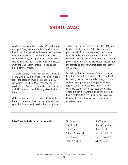# **ABOUT AVAC**

<span id="page-46-0"></span>AVAC has had a productive year. We led the way to support Congressional efforts to provide incentives for vaccine research and development, and we brought increased attention to the cause. We distributed over 5,000 copies of our book on HIV development and trials, the *HIV Vaccine Handbook*, which the CDC Clearinghouse is stocking and shipping free of charge.

Last year's update, *8 Years and Counting*, was distributed to over 4,500 individuals in the field, organizations, and press, and was mentioned in many publications including *USA Today* and the *Los Angeles Times*. We are very proud of our effort to hold NIH to established interim goals and milestones.

All this activity only increases our obligation to do thorough research and analysis and maintain our reputation for unbiased, insightful public opinion.

To that end, we have increased our staff 50%, from two to three, by adding a Policy Director, with plans to add a fourth person to work on community outreach and education planning. All this has been done without taking away from current AIDS prevention efforts or care, and without support from the companies or governmental organizations that we monitor.

We believe that developing a vaccine is only the first third of AVAC's challenge. The second will be making the vaccine available through pricing and purchasing, which is in large part why we support current proposed legislation. The third will be to get the vaccine to those who need it. There is much more work to do and you can help. Please contact Rose McCullough, our Executive Director, to offer ideas, support, and/or your time (rose@avac.org).

#### **AVAC contributors to this report:**

Bill Snow Sam Avrett Chris Collins Adrian Marinovich Mike Powell Steve Wakefield

Jim Thomas Dana Cappiello David Gold Rose McCullough Luis G. Santiago Allison Bauer